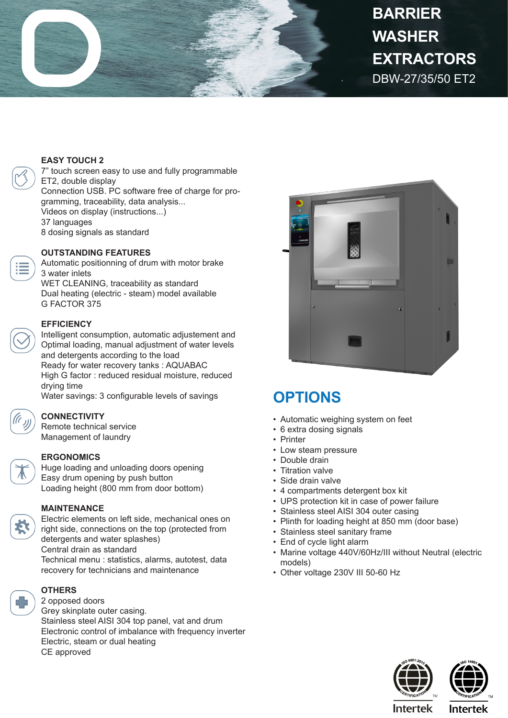

# DBW-27/35/50 ET2 **BARRIER WASHER EXTRACTORS**

#### **EASY TOUCH 2**

7" touch screen easy to use and fully programmable ET2, double display Connection USB. PC software free of charge for programming, traceability, data analysis... Videos on display (instructions...) 37 languages 8 dosing signals as standard

#### **OUTSTANDING FEATURES**

Automatic positionning of drum with motor brake 3 water inlets WET CLEANING, traceability as standard Dual heating (electric - steam) model available G FACTOR 375

#### **EFFICIENCY**

Intelligent consumption, automatic adjustement and Optimal loading, manual adjustment of water levels and detergents according to the load Ready for water recovery tanks : AQUABAC High G factor : reduced residual moisture, reduced drying time

Water savings: 3 configurable levels of savings



#### **CONNECTIVITY**

Remote technical service Management of laundry

### **ERGONOMICS**

Huge loading and unloading doors opening Easy drum opening by push button Loading height (800 mm from door bottom)

#### **MAINTENANCE**

Electric elements on left side, mechanical ones on right side, connections on the top (protected from detergents and water splashes) Central drain as standard Technical menu : statistics, alarms, autotest, data recovery for technicians and maintenance



#### **OTHERS** 2 opposed doors

Grey skinplate outer casing. Stainless steel AISI 304 top panel, vat and drum Electronic control of imbalance with frequency inverter Electric, steam or dual heating CE approved



## **OPTIONS**

- Automatic weighing system on feet
- 6 extra dosing signals
- Printer
- Low steam pressure
- Double drain
- Titration valve
- Side drain valve
- 4 compartments detergent box kit
- UPS protection kit in case of power failure
- Stainless steel AISI 304 outer casing
- Plinth for loading height at 850 mm (door base)
- Stainless steel sanitary frame
- End of cycle light alarm
- Marine voltage 440V/60Hz/III without Neutral (electric models)
- Other voltage 230V III 50-60 Hz





**Intertek** 

**Intertek**